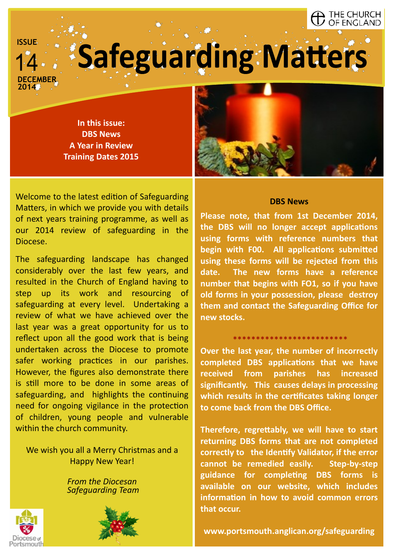#### THE CHURCH OF ENGLAND

**CEMBER** 

**ISSUE**

# **Safeguarding Matters**

**2014**

**In this issue: DBS News A Year in Review Training Dates 2015**

Welcome to the latest edition of Safeguarding Matters, in which we provide you with details of next years training programme, as well as our 2014 review of safeguarding in the Diocese.

The safeguarding landscape has changed considerably over the last few years, and resulted in the Church of England having to step up its work and resourcing of safeguarding at every level. Undertaking a review of what we have achieved over the last year was a great opportunity for us to reflect upon all the good work that is being undertaken across the Diocese to promote safer working practices in our parishes. However, the figures also demonstrate there is still more to be done in some areas of safeguarding, and highlights the continuing need for ongoing vigilance in the protection of children, young people and vulnerable within the church community.

We wish you all a Merry Christmas and a Happy New Year!

> *From the Diocesan Safeguarding Team*







#### **DBS News**

**Please note, that from 1st December 2014, the DBS will no longer accept applications using forms with reference numbers that begin with F00. All applications submitted using these forms will be rejected from this date. The new forms have a reference number that begins with FO1, so if you have old forms in your possession, please destroy them and contact the Safeguarding Office for new stocks.** 

#### \*\*\*\*\*\*\*\*\*\*\*\*\*\*\*\*\*\*\*\*\*\*\*\*\*

**Over the last year, the number of incorrectly completed DBS applications that we have received from parishes has increased significantly. This causes delays in processing which results in the certificates taking longer to come back from the DBS Office.** 

**Therefore, regrettably, we will have to start returning DBS forms that are not completed correctly to the Identify Validator, if the error cannot be remedied easily. Step-by-step guidance for completing DBS forms is available on our website, which includes information in how to avoid common errors that occur.** 

**www.portsmouth.anglican.org/safeguarding**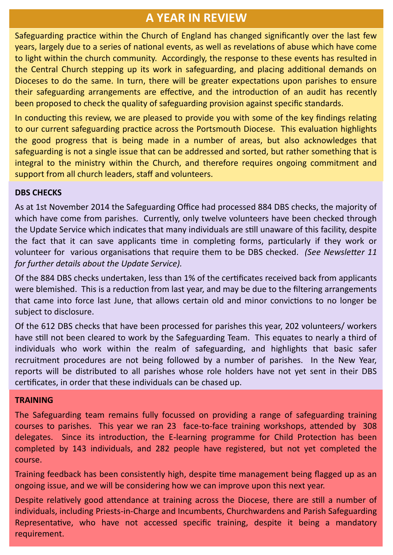# **A YEAR IN REVIEW**

Safeguarding practice within the Church of England has changed significantly over the last few years, largely due to a series of national events, as well as revelations of abuse which have come to light within the church community. Accordingly, the response to these events has resulted in the Central Church stepping up its work in safeguarding, and placing additional demands on Dioceses to do the same. In turn, there will be greater expectations upon parishes to ensure their safeguarding arrangements are effective, and the introduction of an audit has recently been proposed to check the quality of safeguarding provision against specific standards.

In conducting this review, we are pleased to provide you with some of the key findings relating to our current safeguarding practice across the Portsmouth Diocese. This evaluation highlights the good progress that is being made in a number of areas, but also acknowledges that safeguarding is not a single issue that can be addressed and sorted, but rather something that is integral to the ministry within the Church, and therefore requires ongoing commitment and support from all church leaders, staff and volunteers.

#### **DBS CHECKS**

As at 1st November 2014 the Safeguarding Office had processed 884 DBS checks, the majority of which have come from parishes. Currently, only twelve volunteers have been checked through the Update Service which indicates that many individuals are still unaware of this facility, despite the fact that it can save applicants time in completing forms, particularly if they work or volunteer for various organisations that require them to be DBS checked. *(See Newsletter 11 for further details about the Update Service).*

Of the 884 DBS checks undertaken, less than 1% of the certificates received back from applicants were blemished. This is a reduction from last year, and may be due to the filtering arrangements that came into force last June, that allows certain old and minor convictions to no longer be subject to disclosure.

Of the 612 DBS checks that have been processed for parishes this year, 202 volunteers/ workers have still not been cleared to work by the Safeguarding Team. This equates to nearly a third of individuals who work within the realm of safeguarding, and highlights that basic safer recruitment procedures are not being followed by a number of parishes. In the New Year, reports will be distributed to all parishes whose role holders have not yet sent in their DBS certificates, in order that these individuals can be chased up.

#### **TRAINING**

The Safeguarding team remains fully focussed on providing a range of safeguarding training courses to parishes. This year we ran 23 face-to-face training workshops, attended by 308 delegates. Since its introduction, the E-learning programme for Child Protection has been completed by 143 individuals, and 282 people have registered, but not yet completed the course.

Training feedback has been consistently high, despite time management being flagged up as an ongoing issue, and we will be considering how we can improve upon this next year.

Despite relatively good attendance at training across the Diocese, there are still a number of individuals, including Priests-in-Charge and Incumbents, Churchwardens and Parish Safeguarding Representative, who have not accessed specific training, despite it being a mandatory requirement.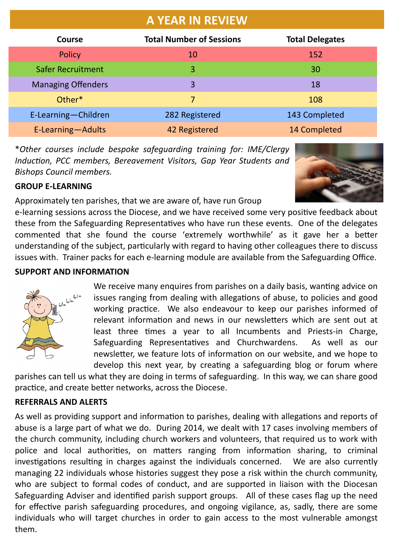| <b>A YEAR IN REVIEW</b>   |                                 |                        |
|---------------------------|---------------------------------|------------------------|
| Course                    | <b>Total Number of Sessions</b> | <b>Total Delegates</b> |
| <b>Policy</b>             | 10                              | 152                    |
| <b>Safer Recruitment</b>  | 3                               | 30                     |
| <b>Managing Offenders</b> | 3                               | 18                     |
| Other*                    | 7                               | 108                    |
| E-Learning-Children       | 282 Registered                  | 143 Completed          |
| E-Learning-Adults         | 42 Registered                   | 14 Completed           |

\**Other courses include bespoke safeguarding training for: IME/Clergy Induction, PCC members, Bereavement Visitors, Gap Year Students and Bishops Council members.*



## **GROUP E-LEARNING**

Approximately ten parishes, that we are aware of, have run Group

e-learning sessions across the Diocese, and we have received some very positive feedback about these from the Safeguarding Representatives who have run these events. One of the delegates commented that she found the course 'extremely worthwhile' as it gave her a better understanding of the subject, particularly with regard to having other colleagues there to discuss issues with. Trainer packs for each e-learning module are available from the Safeguarding Office.

### **SUPPORT AND INFORMATION**



We receive many enquires from parishes on a daily basis, wanting advice on issues ranging from dealing with allegations of abuse, to policies and good working practice. We also endeavour to keep our parishes informed of relevant information and news in our newsletters which are sent out at least three times a year to all Incumbents and Priests-in Charge, Safeguarding Representatives and Churchwardens. As well as our newsletter, we feature lots of information on our website, and we hope to develop this next year, by creating a safeguarding blog or forum where

parishes can tell us what they are doing in terms of safeguarding. In this way, we can share good practice, and create better networks, across the Diocese.

#### **REFERRALS AND ALERTS**

As well as providing support and information to parishes, dealing with allegations and reports of abuse is a large part of what we do. During 2014, we dealt with 17 cases involving members of the church community, including church workers and volunteers, that required us to work with police and local authorities, on matters ranging from information sharing, to criminal investigations resulting in charges against the individuals concerned. We are also currently managing 22 individuals whose histories suggest they pose a risk within the church community, who are subject to formal codes of conduct, and are supported in liaison with the Diocesan Safeguarding Adviser and identified parish support groups. All of these cases flag up the need for effective parish safeguarding procedures, and ongoing vigilance, as, sadly, there are some individuals who will target churches in order to gain access to the most vulnerable amongst them.